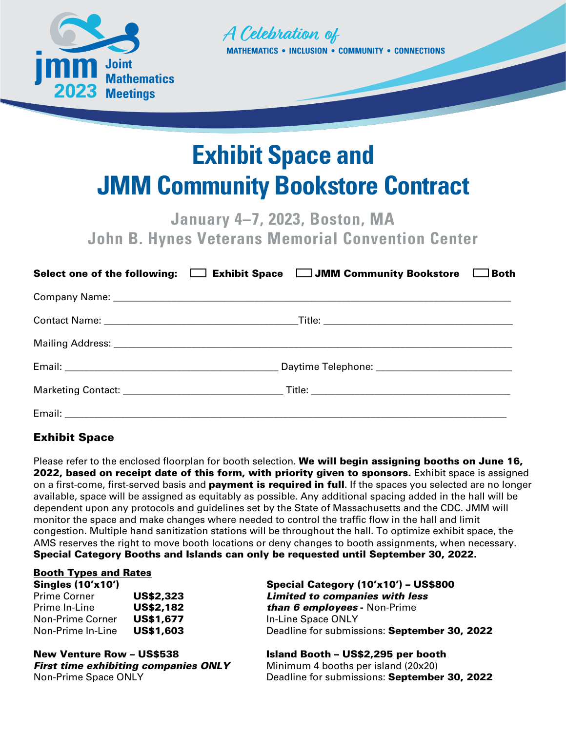



# **Exhibit Space and JMM Community Bookstore Contract**

**January 4–7, 2023, Boston, MA John B. Hynes Veterans Memorial Convention Center**

|  | Select one of the following: $\square$ Exhibit Space $\square$ JMM Community Bookstore $\square$ Both |  |
|--|-------------------------------------------------------------------------------------------------------|--|
|  |                                                                                                       |  |
|  |                                                                                                       |  |
|  |                                                                                                       |  |
|  |                                                                                                       |  |
|  |                                                                                                       |  |
|  |                                                                                                       |  |

# Exhibit Space

Please refer to the enclosed floorplan for booth selection. We will begin assigning booths on June 16, 2022, based on receipt date of this form, with priority given to sponsors. Exhibit space is assigned on a first-come, first-served basis and **payment is required in full**. If the spaces you selected are no longer available, space will be assigned as equitably as possible. Any additional spacing added in the hall will be dependent upon any protocols and guidelines set by the State of Massachusetts and the CDC. JMM will monitor the space and make changes where needed to control the traffic flow in the hall and limit congestion. Multiple hand sanitization stations will be throughout the hall. To optimize exhibit space, the AMS reserves the right to move booth locations or deny changes to booth assignments, when necessary. Special Category Booths and Islands can only be requested until September 30, 2022.

### Booth Types and Rates

| <b>Singles (10'x10')</b> |                  |
|--------------------------|------------------|
| <b>Prime Corner</b>      | <b>US\$2,323</b> |
| Prime In-Line            | <b>US\$2,182</b> |
| <b>Non-Prime Corner</b>  | <b>US\$1,677</b> |
| Non-Prime In-Line        | <b>US\$1,603</b> |

New Venture Row – US\$538 Island Booth – US\$2,295 per booth **First time exhibiting companies ONLY** Minimum 4 booths per island (20x20)

Special Category  $(10'x10') - US$800$ **Limited to companies with less than 6 employees** - Non-Prime In-Line Space ONLY Deadline for submissions: September 30, 2022

Non-Prime Space ONLY **Non-Prime Space ONLY** Deadline for submissions: September 30, 2022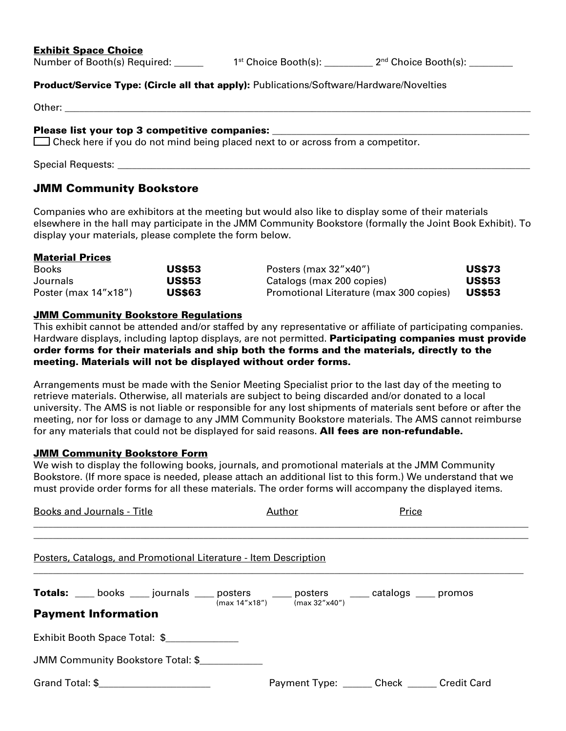## Exhibit Space Choice

Number of Booth(s) Required:  $1^{st}$  Choice Booth(s):  $2^{nd}$  Choice Booth(s):

### **Product/Service Type: (Circle all that apply):** Publications/Software/Hardware/Novelties

#### Please list your top 3 competitive companies:

 $\Box$  Check here if you do not mind being placed next to or across from a competitor.

Special Requests: \_\_\_\_\_\_\_\_\_\_\_\_\_\_\_\_\_\_\_\_\_\_\_\_\_\_\_\_\_\_\_\_\_\_\_\_\_\_\_\_\_\_\_\_\_\_\_\_\_\_\_\_\_\_\_\_\_\_\_\_\_\_\_\_\_\_\_\_\_\_\_\_\_\_\_\_\_\_\_\_\_\_\_\_\_

## JMM Community Bookstore

Companies who are exhibitors at the meeting but would also like to display some of their materials elsewhere in the hall may participate in the JMM Community Bookstore (formally the Joint Book Exhibit). To display your materials, please complete the form below.

### Material Prices

| <b>Books</b>            | <b>US\$53</b> | Posters (max 32"x40")                   | <b>US\$73</b> |
|-------------------------|---------------|-----------------------------------------|---------------|
| Journals                | <b>US\$53</b> | Catalogs (max 200 copies)               | <b>US\$53</b> |
| Poster (max $14"x18"$ ) | <b>US\$63</b> | Promotional Literature (max 300 copies) | <b>US\$53</b> |

## **JMM Community Bookstore Regulations**

This exhibit cannot be attended and/or staffed by any representative or affiliate of participating companies. Hardware displays, including laptop displays, are not permitted. **Participating companies must provide** order forms for their materials and ship both the forms and the materials, directly to the meeting. Materials will not be displayed without order forms.

Arrangements must be made with the Senior Meeting Specialist prior to the last day of the meeting to retrieve materials. Otherwise, all materials are subject to being discarded and/or donated to a local university. The AMS is not liable or responsible for any lost shipments of materials sent before or after the meeting, nor for loss or damage to any JMM Community Bookstore materials. The AMS cannot reimburse for any materials that could not be displayed for said reasons. All fees are non-refundable.

## JMM Community Bookstore Form

We wish to display the following books, journals, and promotional materials at the JMM Community Bookstore. (If more space is needed, please attach an additional list to this form.) We understand that we must provide order forms for all these materials. The order forms will accompany the displayed items.

| <b>Books and Journals - Title</b>                                                                                                 | <u>Author</u> | Price                                          |  |  |
|-----------------------------------------------------------------------------------------------------------------------------------|---------------|------------------------------------------------|--|--|
| Posters, Catalogs, and Promotional Literature - Item Description                                                                  |               |                                                |  |  |
| <b>Totals:</b> ___ books ___ journals ___ posters ___ posters ___ catalogs ___ promos $\frac{1}{2}$<br><b>Payment Information</b> |               |                                                |  |  |
| Exhibit Booth Space Total: \$                                                                                                     |               |                                                |  |  |
| JMM Community Bookstore Total: \$                                                                                                 |               |                                                |  |  |
| Grand Total: \$                                                                                                                   |               | Payment Type: _______ Check ______ Credit Card |  |  |